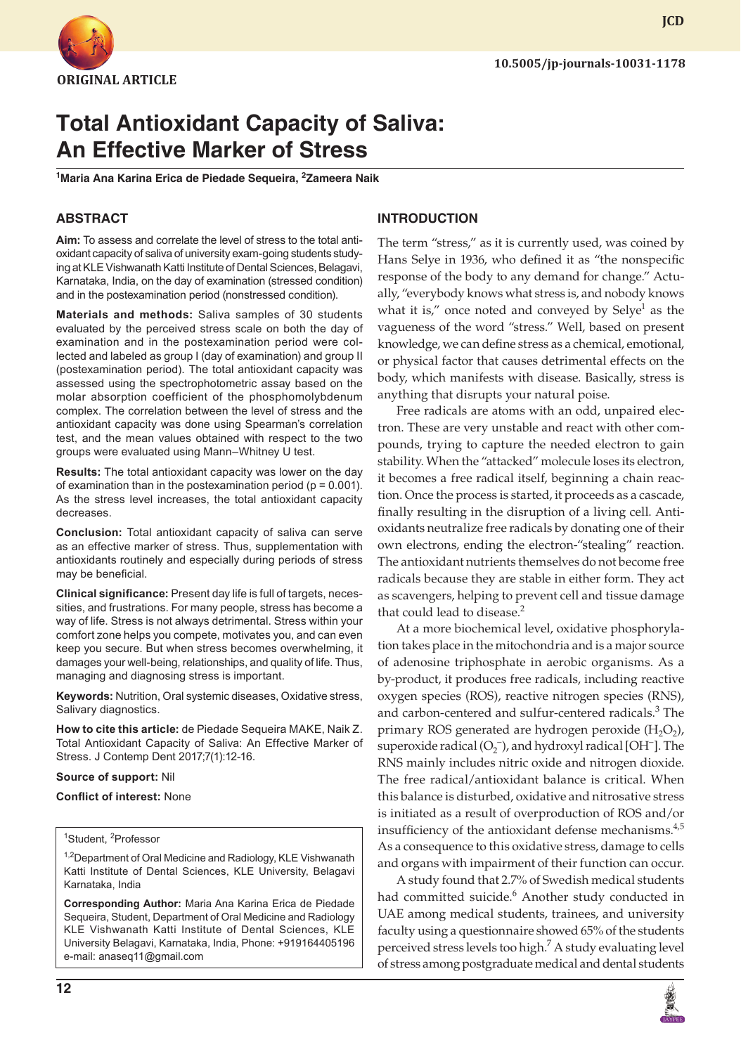

**JCD**

# **Total Antioxidant Capacity of Saliva: An Effective Marker of Stress**

<sup>1</sup>Maria Ana Karina Erica de Piedade Sequeira, <sup>2</sup>Zameera Naik

## **ABSTRACT**

**Aim:** To assess and correlate the level of stress to the total antioxidant capacity of saliva of university exam-going students studying at KLE Vishwanath Katti Institute of Dental Sciences, Belagavi, Karnataka, India, on the day of examination (stressed condition) and in the postexamination period (nonstressed condition).

**Materials and methods:** Saliva samples of 30 students evaluated by the perceived stress scale on both the day of examination and in the postexamination period were collected and labeled as group I (day of examination) and group II (postexamination period). The total antioxidant capacity was assessed using the spectrophotometric assay based on the molar absorption coefficient of the phosphomolybdenum complex. The correlation between the level of stress and the antioxidant capacity was done using Spearman's correlation test, and the mean values obtained with respect to the two groups were evaluated using Mann–Whitney U test.

**Results:** The total antioxidant capacity was lower on the day of examination than in the postexamination period ( $p = 0.001$ ). As the stress level increases, the total antioxidant capacity decreases.

**Conclusion:** Total antioxidant capacity of saliva can serve as an effective marker of stress. Thus, supplementation with antioxidants routinely and especially during periods of stress may be beneficial.

**Clinical significance:** Present day life is full of targets, necessities, and frustrations. For many people, stress has become a way of life. Stress is not always detrimental. Stress within your comfort zone helps you compete, motivates you, and can even keep you secure. But when stress becomes overwhelming, it damages your well-being, relationships, and quality of life. Thus, managing and diagnosing stress is important.

**Keywords:** Nutrition, Oral systemic diseases, Oxidative stress, Salivary diagnostics.

**How to cite this article:** de Piedade Sequeira MAKE, Naik Z. Total Antioxidant Capacity of Saliva: An Effective Marker of Stress. J Contemp Dent 2017;7(1):12-16.

#### **Source of support:** Nil

#### **Conflict of interest:** None

<sup>1</sup>Student, <sup>2</sup>Professor

<sup>1,2</sup>Department of Oral Medicine and Radiology, KLE Vishwanath Katti Institute of Dental Sciences, KLE University, Belagavi Karnataka, India

**Corresponding Author:** Maria Ana Karina Erica de Piedade Sequeira, Student, Department of Oral Medicine and Radiology KLE Vishwanath Katti Institute of Dental Sciences, KLE University Belagavi, Karnataka, India, Phone: +919164405196 e-mail: anaseq11@gmail.com

#### **INTRODUCTION**

The term "stress," as it is currently used, was coined by Hans Selye in 1936, who defined it as "the nonspecific response of the body to any demand for change." Actually, "everybody knows what stress is, and nobody knows what it is," once noted and conveyed by Selye<sup>1</sup> as the vagueness of the word "stress." Well, based on present knowledge, we can define stress as a chemical, emotional, or physical factor that causes detrimental effects on the body, which manifests with disease. Basically, stress is anything that disrupts your natural poise.

Free radicals are atoms with an odd, unpaired electron. These are very unstable and react with other compounds, trying to capture the needed electron to gain stability. When the "attacked" molecule loses its electron, it becomes a free radical itself, beginning a chain reaction. Once the process is started, it proceeds as a cascade, finally resulting in the disruption of a living cell. Antioxidants neutralize free radicals by donating one of their own electrons, ending the electron-"stealing" reaction. The antioxidant nutrients themselves do not become free radicals because they are stable in either form. They act as scavengers, helping to prevent cell and tissue damage that could lead to disease.<sup>2</sup>

At a more biochemical level, oxidative phosphorylation takes place in the mitochondria and is a major source of adenosine triphosphate in aerobic organisms. As a by-product, it produces free radicals, including reactive oxygen species (ROS), reactive nitrogen species (RNS), and carbon-centered and sulfur-centered radicals.<sup>3</sup> The primary ROS generated are hydrogen peroxide  $(H<sub>2</sub>O<sub>2</sub>)$ , superoxide radical  $(O_2^-)$ , and hydroxyl radical [OH<sup>-</sup>]. The RNS mainly includes nitric oxide and nitrogen dioxide. The free radical/antioxidant balance is critical. When this balance is disturbed, oxidative and nitrosative stress is initiated as a result of overproduction of ROS and/or insufficiency of the antioxidant defense mechanisms.<sup>4,5</sup> As a consequence to this oxidative stress, damage to cells and organs with impairment of their function can occur.

A study found that 2.7% of Swedish medical students had committed suicide.<sup>6</sup> Another study conducted in UAE among medical students, trainees, and university faculty using a questionnaire showed 65% of the students perceived stress levels too high.<sup>7</sup> A study evaluating level of stress among postgraduate medical and dental students

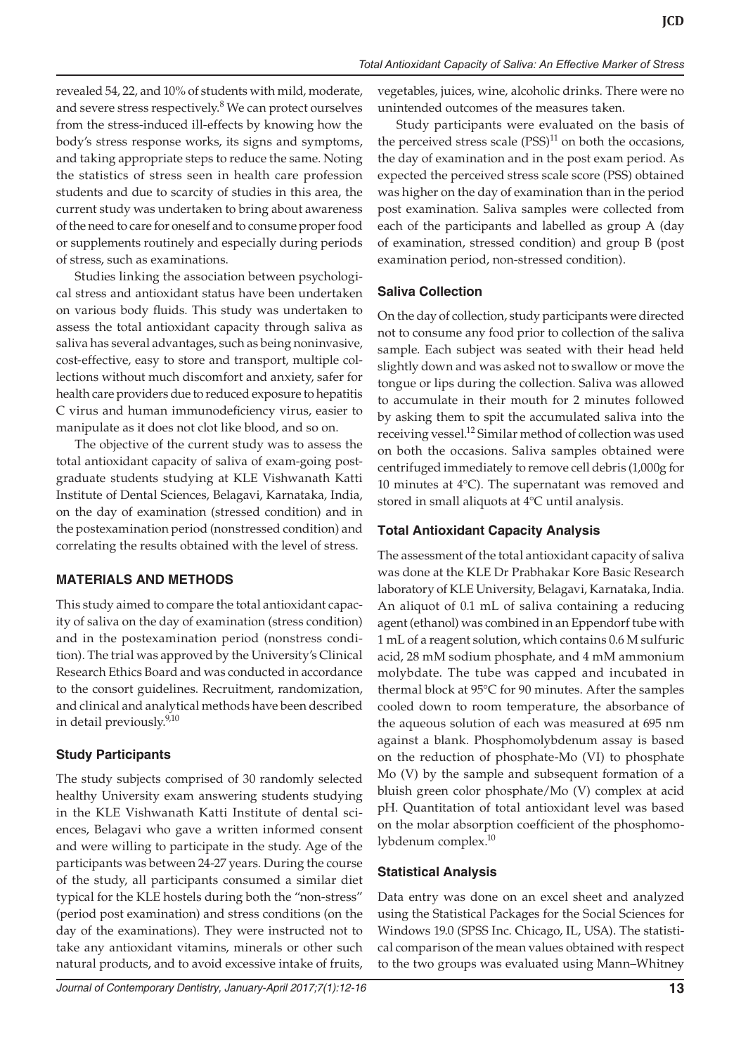revealed 54, 22, and 10% of students with mild, moderate, and severe stress respectively.<sup>8</sup> We can protect ourselves from the stress-induced ill-effects by knowing how the body's stress response works, its signs and symptoms, and taking appropriate steps to reduce the same. Noting the statistics of stress seen in health care profession students and due to scarcity of studies in this area, the current study was undertaken to bring about awareness of the need to care for oneself and to consume proper food or supplements routinely and especially during periods of stress, such as examinations.

Studies linking the association between psychological stress and antioxidant status have been undertaken on various body fluids. This study was undertaken to assess the total antioxidant capacity through saliva as saliva has several advantages, such as being noninvasive, cost-effective, easy to store and transport, multiple collections without much discomfort and anxiety, safer for health care providers due to reduced exposure to hepatitis C virus and human immunodeficiency virus, easier to manipulate as it does not clot like blood, and so on.

The objective of the current study was to assess the total antioxidant capacity of saliva of exam-going postgraduate students studying at KLE Vishwanath Katti Institute of Dental Sciences, Belagavi, Karnataka, India, on the day of examination (stressed condition) and in the postexamination period (nonstressed condition) and correlating the results obtained with the level of stress.

#### **MATERIALS AND METHODS**

This study aimed to compare the total antioxidant capacity of saliva on the day of examination (stress condition) and in the postexamination period (nonstress condition). The trial was approved by the University's Clinical Research Ethics Board and was conducted in accordance to the consort guidelines. Recruitment, randomization, and clinical and analytical methods have been described in detail previously.<sup>9,10</sup>

## **Study Participants**

The study subjects comprised of 30 randomly selected healthy University exam answering students studying in the KLE Vishwanath Katti Institute of dental sciences, Belagavi who gave a written informed consent and were willing to participate in the study. Age of the participants was between 24-27 years. During the course of the study, all participants consumed a similar diet typical for the KLE hostels during both the "non-stress" (period post examination) and stress conditions (on the day of the examinations). They were instructed not to take any antioxidant vitamins, minerals or other such natural products, and to avoid excessive intake of fruits,

vegetables, juices, wine, alcoholic drinks. There were no unintended outcomes of the measures taken.

Study participants were evaluated on the basis of the perceived stress scale  $(PSS)^{11}$  on both the occasions, the day of examination and in the post exam period. As expected the perceived stress scale score (PSS) obtained was higher on the day of examination than in the period post examination. Saliva samples were collected from each of the participants and labelled as group A (day of examination, stressed condition) and group B (post examination period, non-stressed condition).

#### **Saliva Collection**

On the day of collection, study participants were directed not to consume any food prior to collection of the saliva sample. Each subject was seated with their head held slightly down and was asked not to swallow or move the tongue or lips during the collection. Saliva was allowed to accumulate in their mouth for 2 minutes followed by asking them to spit the accumulated saliva into the receiving vessel.<sup>12</sup> Similar method of collection was used on both the occasions. Saliva samples obtained were centrifuged immediately to remove cell debris (1,000g for 10 minutes at 4°C). The supernatant was removed and stored in small aliquots at 4°C until analysis.

## **Total Antioxidant Capacity Analysis**

The assessment of the total antioxidant capacity of saliva was done at the KLE Dr Prabhakar Kore Basic Research laboratory of KLE University, Belagavi, Karnataka, India. An aliquot of 0.1 mL of saliva containing a reducing agent (ethanol) was combined in an Eppendorf tube with 1 mL of a reagent solution, which contains 0.6 M sulfuric acid, 28 mM sodium phosphate, and 4 mM ammonium molybdate. The tube was capped and incubated in thermal block at 95°C for 90 minutes. After the samples cooled down to room temperature, the absorbance of the aqueous solution of each was measured at 695 nm against a blank. Phosphomolybdenum assay is based on the reduction of phosphate-Mo (VI) to phosphate Mo (V) by the sample and subsequent formation of a bluish green color phosphate/Mo (V) complex at acid pH. Quantitation of total antioxidant level was based on the molar absorption coefficient of the phosphomolybdenum complex.<sup>10</sup>

## **Statistical Analysis**

Data entry was done on an excel sheet and analyzed using the Statistical Packages for the Social Sciences for Windows 19.0 (SPSS Inc. Chicago, IL, USA). The statistical comparison of the mean values obtained with respect to the two groups was evaluated using Mann–Whitney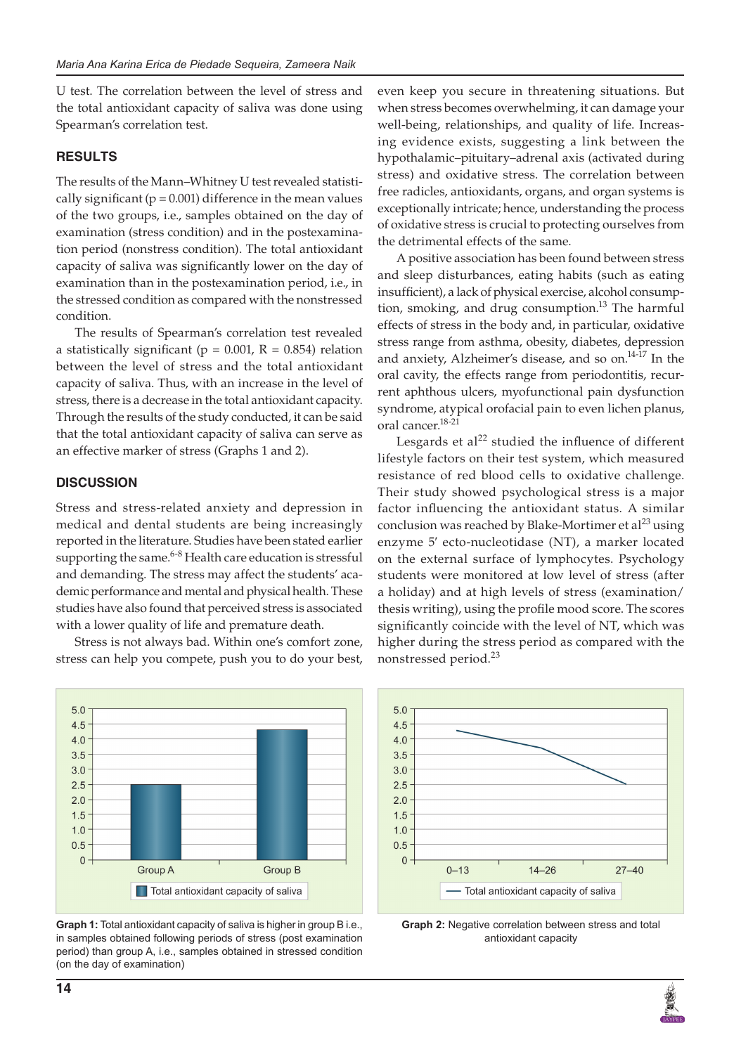U test. The correlation between the level of stress and the total antioxidant capacity of saliva was done using Spearman's correlation test.

## **RESULTS**

The results of the Mann–Whitney U test revealed statistically significant ( $p = 0.001$ ) difference in the mean values of the two groups, i.e., samples obtained on the day of examination (stress condition) and in the postexamination period (nonstress condition). The total antioxidant capacity of saliva was significantly lower on the day of examination than in the postexamination period, i.e., in the stressed condition as compared with the nonstressed condition.

The results of Spearman's correlation test revealed a statistically significant ( $p = 0.001$ ,  $R = 0.854$ ) relation between the level of stress and the total antioxidant capacity of saliva. Thus, with an increase in the level of stress, there is a decrease in the total antioxidant capacity. Through the results of the study conducted, it can be said that the total antioxidant capacity of saliva can serve as an effective marker of stress (Graphs 1 and 2).

## **DISCUSSION**

Stress and stress-related anxiety and depression in medical and dental students are being increasingly reported in the literature. Studies have been stated earlier supporting the same.<sup>6-8</sup> Health care education is stressful and demanding. The stress may affect the students' academic performance and mental and physical health. These studies have also found that perceived stress is associated with a lower quality of life and premature death.

Stress is not always bad. Within one's comfort zone, stress can help you compete, push you to do your best,

 $5.0$  $4.5$  $4.0$  $3.5$  $3.0$ 2.5  $2.0$  $1.5$  $1.0$  $0.5$  $\overline{0}$ **Group A** Group B Total antioxidant capacity of saliva

**Graph 1:** Total antioxidant capacity of saliva is higher in group B i.e., in samples obtained following periods of stress (post examination period) than group A, i.e., samples obtained in stressed condition (on the day of examination)

even keep you secure in threatening situations. But when stress becomes overwhelming, it can damage your well-being, relationships, and quality of life. Increasing evidence exists, suggesting a link between the hypothalamic–pituitary–adrenal axis (activated during stress) and oxidative stress. The correlation between free radicles, antioxidants, organs, and organ systems is exceptionally intricate; hence, understanding the process of oxidative stress is crucial to protecting ourselves from the detrimental effects of the same.

A positive association has been found between stress and sleep disturbances, eating habits (such as eating insufficient), a lack of physical exercise, alcohol consumption, smoking, and drug consumption.<sup>13</sup> The harmful effects of stress in the body and, in particular, oxidative stress range from asthma, obesity, diabetes, depression and anxiety, Alzheimer's disease, and so on.<sup>14-17</sup> In the oral cavity, the effects range from periodontitis, recurrent aphthous ulcers, myofunctional pain dysfunction syndrome, atypical orofacial pain to even lichen planus, oral cancer.18-21

Lesgards et al<sup>22</sup> studied the influence of different lifestyle factors on their test system, which measured resistance of red blood cells to oxidative challenge. Their study showed psychological stress is a major factor influencing the antioxidant status. A similar conclusion was reached by Blake-Mortimer et al<sup>23</sup> using enzyme 5′ ecto-nucleotidase (NT), a marker located on the external surface of lymphocytes. Psychology students were monitored at low level of stress (after a holiday) and at high levels of stress (examination/ thesis writing), using the profile mood score. The scores significantly coincide with the level of NT, which was higher during the stress period as compared with the nonstressed period.<sup>23</sup>



**Graph 2:** Negative correlation between stress and total antioxidant capacity

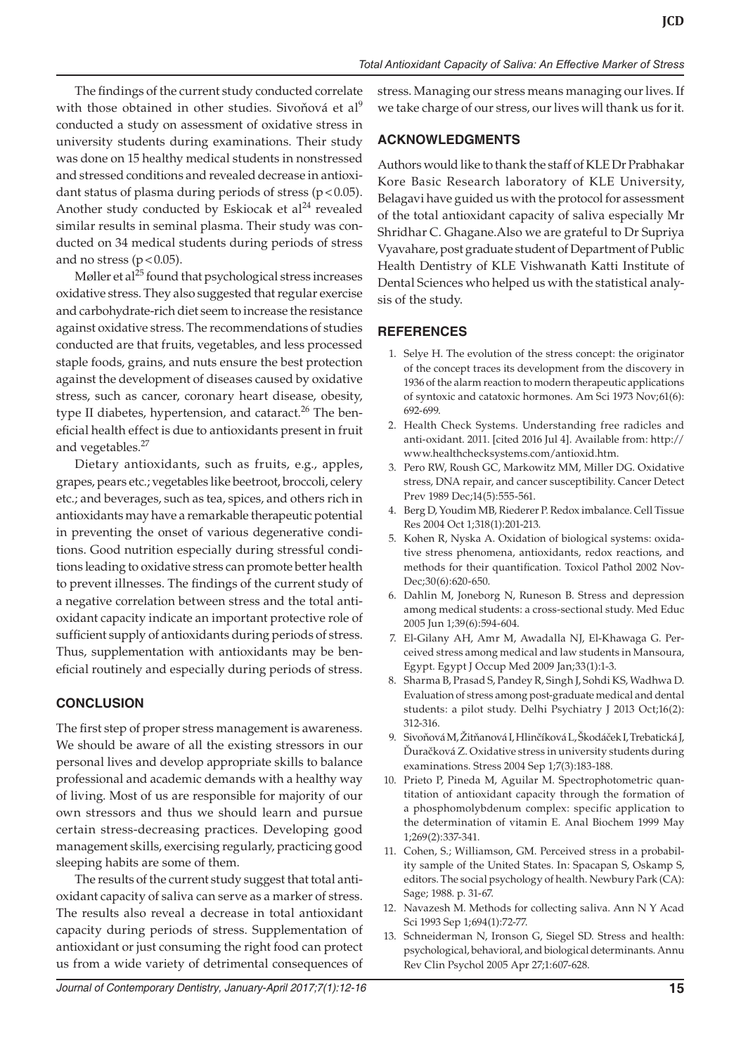The findings of the current study conducted correlate with those obtained in other studies. Sivoňová et al<sup>9</sup> conducted a study on assessment of oxidative stress in university students during examinations. Their study was done on 15 healthy medical students in nonstressed and stressed conditions and revealed decrease in antioxidant status of plasma during periods of stress  $(p < 0.05)$ . Another study conducted by Eskiocak et  $al<sup>24</sup>$  revealed similar results in seminal plasma. Their study was conducted on 34 medical students during periods of stress and no stress ( $p < 0.05$ ).

Møller et al $^{25}$  found that psychological stress increases oxidative stress. They also suggested that regular exercise and carbohydrate-rich diet seem to increase the resistance against oxidative stress. The recommendations of studies conducted are that fruits, vegetables, and less processed staple foods, grains, and nuts ensure the best protection against the development of diseases caused by oxidative stress, such as cancer, coronary heart disease, obesity, type II diabetes, hypertension, and cataract.<sup>26</sup> The beneficial health effect is due to antioxidants present in fruit and vegetables.<sup>27</sup>

Dietary antioxidants, such as fruits, e.g., apples, grapes, pears etc.; vegetables like beetroot, broccoli, celery etc.; and beverages, such as tea, spices, and others rich in antioxidants may have a remarkable therapeutic potential in preventing the onset of various degenerative conditions. Good nutrition especially during stressful conditions leading to oxidative stress can promote better health to prevent illnesses. The findings of the current study of a negative correlation between stress and the total antioxidant capacity indicate an important protective role of sufficient supply of antioxidants during periods of stress. Thus, supplementation with antioxidants may be beneficial routinely and especially during periods of stress.

## **CONCLUSION**

The first step of proper stress management is awareness. We should be aware of all the existing stressors in our personal lives and develop appropriate skills to balance professional and academic demands with a healthy way of living. Most of us are responsible for majority of our own stressors and thus we should learn and pursue certain stress-decreasing practices. Developing good management skills, exercising regularly, practicing good sleeping habits are some of them.

The results of the current study suggest that total antioxidant capacity of saliva can serve as a marker of stress. The results also reveal a decrease in total antioxidant capacity during periods of stress. Supplementation of antioxidant or just consuming the right food can protect us from a wide variety of detrimental consequences of stress. Managing our stress means managing our lives. If we take charge of our stress, our lives will thank us for it.

## **ACKNOWLEDGMENTS**

Authors would like to thank the staff of KLE Dr Prabhakar Kore Basic Research laboratory of KLE University, Belagavi have guided us with the protocol for assessment of the total antioxidant capacity of saliva especially Mr Shridhar C. Ghagane.Also we are grateful to Dr Supriya Vyavahare, post graduate student of Department of Public Health Dentistry of KLE Vishwanath Katti Institute of Dental Sciences who helped us with the statistical analysis of the study.

## **REFERENCES**

- 1. Selye H. The evolution of the stress concept: the originator of the concept traces its development from the discovery in 1936 of the alarm reaction to modern therapeutic applications of syntoxic and catatoxic hormones. Am Sci 1973 Nov;61(6): 692-699.
- 2. Health Check Systems. Understanding free radicles and anti-oxidant. 2011. [cited 2016 Jul 4]. Available from: http:// www.healthchecksystems.com/antioxid.htm.
- 3. Pero RW, Roush GC, Markowitz MM, Miller DG. Oxidative stress, DNA repair, and cancer susceptibility. Cancer Detect Prev 1989 Dec;14(5):555-561.
- 4. Berg D, Youdim MB, Riederer P. Redox imbalance. Cell Tissue Res 2004 Oct 1;318(1):201-213.
- 5. Kohen R, Nyska A. Oxidation of biological systems: oxidative stress phenomena, antioxidants, redox reactions, and methods for their quantification. Toxicol Pathol 2002 Nov-Dec;30(6):620-650.
- 6. Dahlin M, Joneborg N, Runeson B. Stress and depression among medical students: a cross-sectional study. Med Educ 2005 Jun 1;39(6):594-604.
- 7. El-Gilany AH, Amr M, Awadalla NJ, El-Khawaga G. Perceived stress among medical and law students in Mansoura, Egypt. Egypt J Occup Med 2009 Jan;33(1):1-3.
- 8. Sharma B, Prasad S, Pandey R, Singh J, Sohdi KS, Wadhwa D. Evaluation of stress among post-graduate medical and dental students: a pilot study. Delhi Psychiatry J 2013 Oct;16(2): 312-316.
- 9. Sivoňová M, Žitňanová I, Hlinčíková L, Škodáček I, Trebatická J, Ďuračková Z. Oxidative stress in university students during examinations. Stress 2004 Sep 1;7(3):183-188.
- 10. Prieto P, Pineda M, Aguilar M. Spectrophotometric quantitation of antioxidant capacity through the formation of a phosphomolybdenum complex: specific application to the determination of vitamin E. Anal Biochem 1999 May 1;269(2):337-341.
- 11. Cohen, S.; Williamson, GM. Perceived stress in a probability sample of the United States. In: Spacapan S, Oskamp S, editors. The social psychology of health. Newbury Park (CA): Sage; 1988. p. 31-67.
- 12. Navazesh M. Methods for collecting saliva. Ann N Y Acad Sci 1993 Sep 1;694(1):72-77.
- 13. Schneiderman N, Ironson G, Siegel SD. Stress and health: psychological, behavioral, and biological determinants. Annu Rev Clin Psychol 2005 Apr 27;1:607-628.